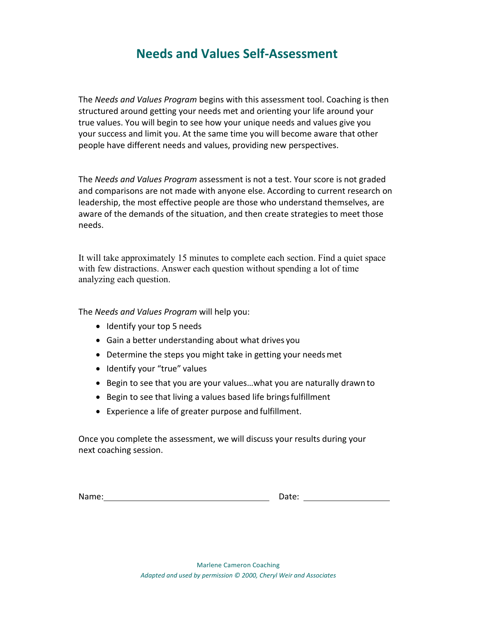# **Needs and Values Self-Assessment**

The *Needs and Values Program* begins with this assessment tool. Coaching is then structured around getting your needs met and orienting your life around your true values. You will begin to see how your unique needs and values give you your success and limit you. At the same time you will become aware that other people have different needs and values, providing new perspectives.

The *Needs and Values Program* assessment is not a test. Your score is not graded and comparisons are not made with anyone else. According to current research on leadership, the most effective people are those who understand themselves, are aware of the demands of the situation, and then create strategies to meet those needs.

It will take approximately 15 minutes to complete each section. Find a quiet space with few distractions. Answer each question without spending a lot of time analyzing each question.

The *Needs and Values Program* will help you:

- Identify your top 5 needs
- Gain a better understanding about what drives you
- Determine the steps you might take in getting your needs met
- Identify your "true" values
- Begin to see that you are your values…what you are naturally drawn to
- Begin to see that living a values based life brings fulfillment
- Experience a life of greater purpose and fulfillment.

Once you complete the assessment, we will discuss your results during your next coaching session.

Name: Same and the Contract of the Contract of Date: Contract of Date: Contract of Date: Contract of the Contract of Date: Contract of the Contract of the Contract of the Contract of the Contract of the Contract of the Con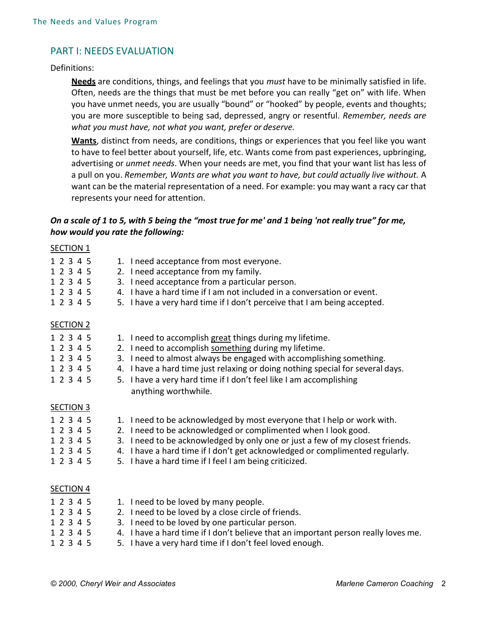# PART I: NEEDS EVALUATION

### Definitions:

**Needs** are conditions, things, and feelings that you *must* have to be minimally satisfied in life. Often, needs are the things that must be met before you can really "get on" with life. When you have unmet needs, you are usually "bound" or "hooked" by people, events and thoughts; you are more susceptible to being sad, depressed, angry or resentful. *Remember, needs are what you must have, not what you want, prefer or deserve.* 

**Wants**, distinct from needs, are conditions, things or experiences that you feel like you want to have to feel better about yourself, life, etc. Wants come from past experiences, upbringing, advertising or *unmet needs*. When your needs are met, you find that your want list has less of a pull on you. *Remember, Wants are what you want to have, but could actually live without.* A want can be the material representation of a need. For example: you may want a racy car that represents your need for attention.

## *On a scale of 1 to 5, with 5 being the "most true for me' and 1 being 'not really true" for me, how would you rate the following:*

| <b>SECTION 1</b> |                                                                                    |
|------------------|------------------------------------------------------------------------------------|
| 1 2 3 4 5        | 1. I need acceptance from most everyone.                                           |
| 1 2 3 4 5        | 2. I need acceptance from my family.                                               |
| 1 2 3 4 5        | 3. I need acceptance from a particular person.                                     |
| 1 2 3 4 5        | 4. I have a hard time if I am not included in a conversation or event.             |
| 1 2 3 4 5        | 5. I have a very hard time if I don't perceive that I am being accepted.           |
| <b>SECTION 2</b> |                                                                                    |
| 1 2 3 4 5        | 1. I need to accomplish great things during my lifetime.                           |
| 1 2 3 4 5        | 2. I need to accomplish something during my lifetime.                              |
| 1 2 3 4 5        | 3. I need to almost always be engaged with accomplishing something.                |
| 1 2 3 4 5        | 4. I have a hard time just relaxing or doing nothing special for several days.     |
| 1 2 3 4 5        | 5. I have a very hard time if I don't feel like I am accomplishing                 |
|                  | anything worthwhile.                                                               |
| <b>SECTION 3</b> |                                                                                    |
| 1 2 3 4 5        | 1. I need to be acknowledged by most everyone that I help or work with.            |
| 1 2 3 4 5        | 2. I need to be acknowledged or complimented when I look good.                     |
| 1 2 3 4 5        | 3. I need to be acknowledged by only one or just a few of my closest friends.      |
| 1 2 3 4 5        | 4. I have a hard time if I don't get acknowledged or complimented regularly.       |
| 1 2 3 4 5        | 5. I have a hard time if I feel I am being criticized.                             |
| <b>SECTION 4</b> |                                                                                    |
| 1 2 3 4 5        | 1. I need to be loved by many people.                                              |
| 1 2 3 4 5        | 2. I need to be loved by a close circle of friends.                                |
| 1 2 3 4 5        | 3. I need to be loved by one particular person.                                    |
| 1 2 3 4 5        | 4. I have a hard time if I don't believe that an important person really loves me. |
|                  |                                                                                    |

1 2 3 4 5 5. I have a very hard time if I don't feel loved enough.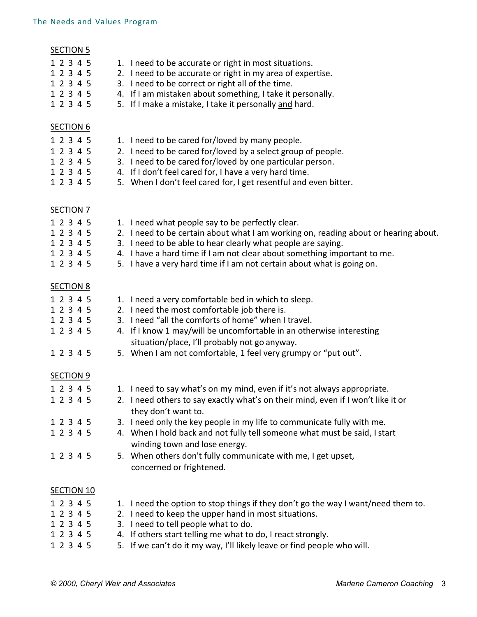| <b>SECTION 5</b><br>1 2 3 4 5<br>1 2 3 4 5<br>1 2 3 4 5<br>1 2 3 4 5<br>1 2 3 4 5 | 1. I need to be accurate or right in most situations.<br>2. I need to be accurate or right in my area of expertise.<br>3. I need to be correct or right all of the time.<br>4. If I am mistaken about something, I take it personally.<br>5. If I make a mistake, I take it personally and hard.                                                                                                                                                                        |
|-----------------------------------------------------------------------------------|-------------------------------------------------------------------------------------------------------------------------------------------------------------------------------------------------------------------------------------------------------------------------------------------------------------------------------------------------------------------------------------------------------------------------------------------------------------------------|
| <b>SECTION 6</b><br>1 2 3 4 5<br>1 2 3 4 5<br>1 2 3 4 5<br>1 2 3 4 5<br>1 2 3 4 5 | 1. I need to be cared for/loved by many people.<br>2. I need to be cared for/loved by a select group of people.<br>3. I need to be cared for/loved by one particular person.<br>4. If I don't feel cared for, I have a very hard time.<br>5. When I don't feel cared for, I get resentful and even bitter.                                                                                                                                                              |
| <b>SECTION 7</b><br>1 2 3 4 5<br>1 2 3 4 5<br>1 2 3 4 5<br>1 2 3 4 5<br>1 2 3 4 5 | 1. I need what people say to be perfectly clear.<br>2. I need to be certain about what I am working on, reading about or hearing about.<br>3. I need to be able to hear clearly what people are saying.<br>4. I have a hard time if I am not clear about something important to me.<br>5. I have a very hard time if I am not certain about what is going on.                                                                                                           |
| <b>SECTION 8</b><br>1 2 3 4 5<br>1 2 3 4 5<br>1 2 3 4 5<br>1 2 3 4 5<br>1 2 3 4 5 | 1. I need a very comfortable bed in which to sleep.<br>2. I need the most comfortable job there is.<br>3. I need "all the comforts of home" when I travel.<br>4. If I know 1 may/will be uncomfortable in an otherwise interesting<br>situation/place, I'll probably not go anyway.<br>5. When I am not comfortable, 1 feel very grumpy or "put out".                                                                                                                   |
| <b>SECTION 9</b><br>1 2 3 4 5<br>1 2 3 4 5<br>1 2 3 4 5<br>1 2 3 4 5<br>1 2 3 4 5 | 1. I need to say what's on my mind, even if it's not always appropriate.<br>2. I need others to say exactly what's on their mind, even if I won't like it or<br>they don't want to.<br>3. I need only the key people in my life to communicate fully with me.<br>4. When I hold back and not fully tell someone what must be said, I start<br>winding town and lose energy.<br>5. When others don't fully communicate with me, I get upset,<br>concerned or frightened. |
| <b>SECTION 10</b>                                                                 |                                                                                                                                                                                                                                                                                                                                                                                                                                                                         |
| 1 2 3 4 5<br>1 2 3 4 5<br>າ າ                                                     | 1. I need the option to stop things if they don't go the way I want/need them to.<br>2. I need to keep the upper hand in most situations.<br>2 Locat to tall poople what to do                                                                                                                                                                                                                                                                                          |

- 1 2 3 4 5 3. I need to tell people what to do.<br>1 2 3 4 5 4. If others start telling me what to
- 1 2 3 4 5 4. If others start telling me what to do, I react strongly.<br>1 2 3 4 5 5. If we can't do it my way, I'll likely leave or find people 5. If we can't do it my way, I'll likely leave or find people who will.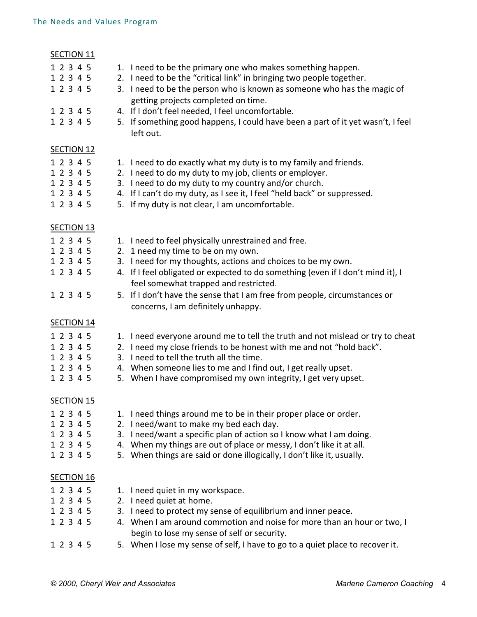| <b>SECTION 11</b> |                                                                                 |
|-------------------|---------------------------------------------------------------------------------|
| 1 2 3 4 5         | 1. I need to be the primary one who makes something happen.                     |
| 1 2 3 4 5         | 2. I need to be the "critical link" in bringing two people together.            |
| 1 2 3 4 5         | 3. I need to be the person who is known as someone who has the magic of         |
|                   | getting projects completed on time.                                             |
| 1 2 3 4 5         | 4. If I don't feel needed, I feel uncomfortable.                                |
| 1 2 3 4 5         | 5. If something good happens, I could have been a part of it yet wasn't, I feel |
|                   | left out.                                                                       |
| <b>SECTION 12</b> |                                                                                 |
| 1 2 3 4 5         | 1. I need to do exactly what my duty is to my family and friends.               |
| 1 2 3 4 5         | 2. I need to do my duty to my job, clients or employer.                         |
| 1 2 3 4 5         | 3. I need to do my duty to my country and/or church.                            |
| 1 2 3 4 5         | 4. If I can't do my duty, as I see it, I feel "held back" or suppressed.        |
| 1 2 3 4 5         | 5. If my duty is not clear, I am uncomfortable.                                 |
|                   |                                                                                 |
| <b>SECTION 13</b> |                                                                                 |
| 1 2 3 4 5         | 1. I need to feel physically unrestrained and free.                             |
| 1 2 3 4 5         | 2. 1 need my time to be on my own.                                              |
| 1 2 3 4 5         | 3. I need for my thoughts, actions and choices to be my own.                    |
| 1 2 3 4 5         | 4. If I feel obligated or expected to do something (even if I don't mind it), I |
|                   | feel somewhat trapped and restricted.                                           |
| 1 2 3 4 5         | 5. If I don't have the sense that I am free from people, circumstances or       |
|                   | concerns, I am definitely unhappy.                                              |
|                   |                                                                                 |
| <b>SECTION 14</b> |                                                                                 |
| 1 2 3 4 5         | 1. I need everyone around me to tell the truth and not mislead or try to cheat  |
| 1 2 3 4 5         | 2. I need my close friends to be honest with me and not "hold back".            |
| 1 2 3 4 5         | 3. I need to tell the truth all the time.                                       |
| 1 2 3 4 5         | 4. When someone lies to me and I find out, I get really upset.                  |
| 1 2 3 4 5         | 5. When I have compromised my own integrity, I get very upset.                  |
| <b>SECTION 15</b> |                                                                                 |
| 1 2 3 4 5         | 1. I need things around me to be in their proper place or order.                |
| 1 2 3 4 5         | 2. I need/want to make my bed each day.                                         |
| 1 2 3 4 5         | 3. I need/want a specific plan of action so I know what I am doing.             |
| 1 2 3 4 5         | 4. When my things are out of place or messy, I don't like it at all.            |
| 1 2 3 4 5         | 5. When things are said or done illogically, I don't like it, usually.          |
|                   |                                                                                 |
| <b>SECTION 16</b> |                                                                                 |
| 1 2 3 4 5         | 1. I need quiet in my workspace.                                                |
| 1 2 3 4 5         | 2. I need quiet at home.                                                        |
| 1 2 3 4 5         | 3. I need to protect my sense of equilibrium and inner peace.                   |
| 1 2 3 4 5         | 4. When I am around commotion and noise for more than an hour or two, I         |
|                   | begin to lose my sense of self or security.                                     |
| 1 2 3 4 5         | 5. When I lose my sense of self, I have to go to a quiet place to recover it.   |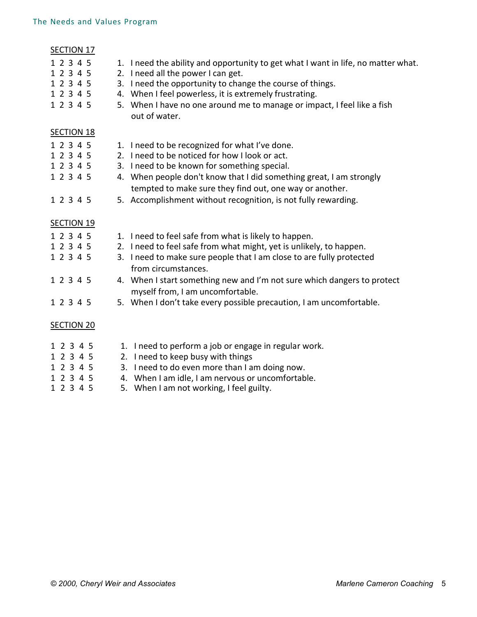# SECTION 17 1 2 3 4 5 1. I need the ability and opportunity to get what I want in life, no matter what. 1 2 3 4 5 2. I need all the power I can get. 1 2 3 4 5 3. I need the opportunity to change the course of things. 1 2 3 4 5 4. When I feel powerless, it is extremely frustrating. 1 2 3 4 5 5. When I have no one around me to manage or impact, I feel like a fish out of water. SECTION 18 1 2 3 4 5 1. I need to be recognized for what I've done. 1 2 3 4 5 2. I need to be noticed for how I look or act. 1 2 3 4 5 3. I need to be known for something special. 1 2 3 4 5 4. When people don't know that I did something great, I am strongly tempted to make sure they find out, one way or another. 1 2 3 4 5 5. Accomplishment without recognition, is not fully rewarding. SECTION 19 1 2 3 4 5 1. I need to feel safe from what is likely to happen. 1 2 3 4 5 2. I need to feel safe from what might, yet is unlikely, to happen. 1 2 3 4 5 3. I need to make sure people that I am close to are fully protected from circumstances. 1 2 3 4 5 4. When I start something new and I'm not sure which dangers to protect myself from, I am uncomfortable. 1 2 3 4 5 5. When I don't take every possible precaution, I am uncomfortable. SECTION 20 1 2 3 4 5 1. I need to perform a job or engage in regular work. 1 2 3 4 5 2. I need to keep busy with things

- 1 2 3 4 5 3. I need to do even more than I am doing now.
- 1 2 3 4 5 4. When I am idle, I am nervous or uncomfortable.
- 1 2 3 4 5 5. When I am not working, I feel guilty.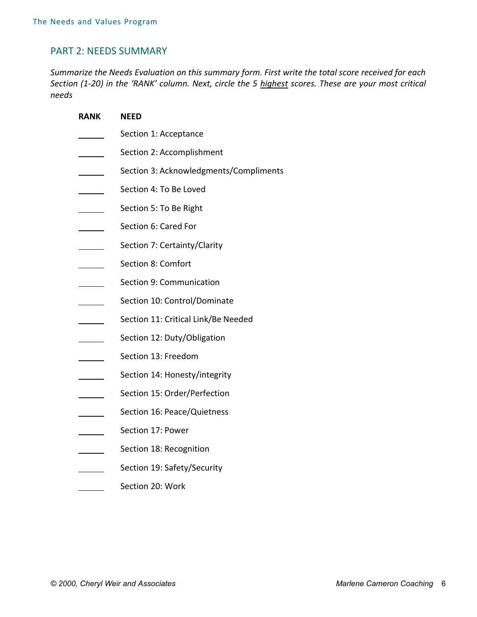## PART 2: NEEDS SUMMARY

*Summarize the Needs Evaluation on this summary form. First write the total score received for each Section (1-20) in the 'RANK' column. Next, circle the 5 highest scores. These are your most critical needs* 

| RANK | <b>NEED</b>                            |
|------|----------------------------------------|
|      | Section 1: Acceptance                  |
|      | Section 2: Accomplishment              |
|      | Section 3: Acknowledgments/Compliments |
|      | Section 4: To Be Loved                 |
|      | Section 5: To Be Right                 |
|      | Section 6: Cared For                   |
|      | Section 7: Certainty/Clarity           |
|      | Section 8: Comfort                     |
|      | Section 9: Communication               |
|      | Section 10: Control/Dominate           |
|      | Section 11: Critical Link/Be Needed    |
|      | Section 12: Duty/Obligation            |
|      | Section 13: Freedom                    |
|      | Section 14: Honesty/integrity          |
|      | Section 15: Order/Perfection           |
|      | Section 16: Peace/Quietness            |
|      | Section 17: Power                      |
|      | Section 18: Recognition                |
|      | Section 19: Safety/Security            |
|      | Section 20: Work                       |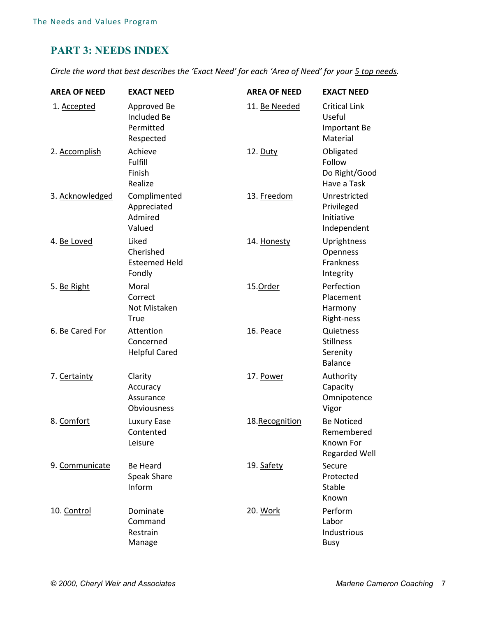# **PART 3: NEEDS INDEX**

*Circle the word that best describes the 'Exact Need' for each 'Area of Need' for your 5 top needs.* 

| <b>AREA OF NEED</b> | <b>EXACT NEED</b>                                           | <b>AREA OF NEED</b> | <b>EXACT NEED</b>                                                    |
|---------------------|-------------------------------------------------------------|---------------------|----------------------------------------------------------------------|
| 1. Accepted         | Approved Be<br><b>Included Be</b><br>Permitted<br>Respected | 11. Be Needed       | <b>Critical Link</b><br>Useful<br><b>Important Be</b><br>Material    |
| 2. Accomplish       | Achieve<br>Fulfill<br>Finish<br>Realize                     | 12. Duty            | Obligated<br>Follow<br>Do Right/Good<br>Have a Task                  |
| 3. Acknowledged     | Complimented<br>Appreciated<br>Admired<br>Valued            | 13. Freedom         | Unrestricted<br>Privileged<br>Initiative<br>Independent              |
| 4. Be Loved         | Liked<br>Cherished<br><b>Esteemed Held</b><br>Fondly        | 14. Honesty         | Uprightness<br>Openness<br>Frankness<br>Integrity                    |
| 5. Be Right         | Moral<br>Correct<br>Not Mistaken<br>True                    | 15.Order            | Perfection<br>Placement<br>Harmony<br>Right-ness                     |
| 6. Be Cared For     | Attention<br>Concerned<br><b>Helpful Cared</b>              | 16. Peace           | Quietness<br><b>Stillness</b><br>Serenity<br><b>Balance</b>          |
| 7. Certainty        | Clarity<br>Accuracy<br>Assurance<br>Obviousness             | 17. Power           | Authority<br>Capacity<br>Omnipotence<br>Vigor                        |
| 8. Comfort          | Luxury Ease<br>Contented<br>Leisure                         | 18.Recognition      | <b>Be Noticed</b><br>Remembered<br>Known For<br><b>Regarded Well</b> |
| 9. Communicate      | <b>Be Heard</b><br><b>Speak Share</b><br>Inform             | 19. Safety          | Secure<br>Protected<br><b>Stable</b><br>Known                        |
| 10. Control         | Dominate<br>Command<br>Restrain<br>Manage                   | 20. Work            | Perform<br>Labor<br>Industrious<br><b>Busy</b>                       |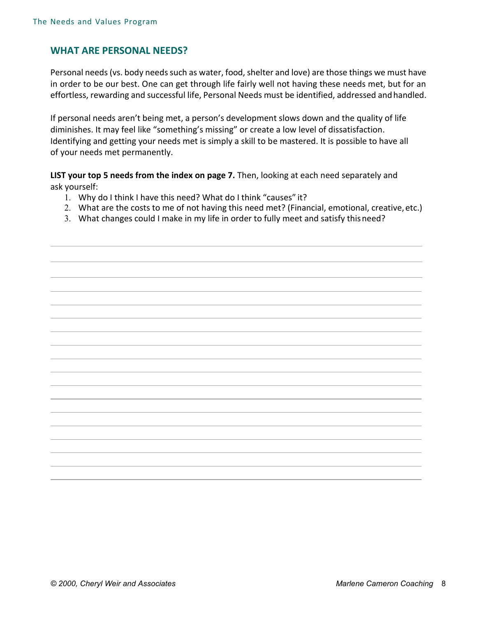# **WHAT ARE PERSONAL NEEDS?**

Personal needs (vs. body needs such as water, food, shelter and love) are those things we must have in order to be our best. One can get through life fairly well not having these needs met, but for an effortless, rewarding and successful life, Personal Needs must be identified, addressed and handled.

If personal needs aren't being met, a person's development slows down and the quality of life diminishes. It may feel like "something's missing" or create a low level of dissatisfaction. Identifying and getting your needs met is simply a skill to be mastered. It is possible to have all of your needs met permanently.

**LIST your top 5 needs from the index on page 7.** Then, looking at each need separately and ask yourself:

- 1. Why do I think I have this need? What do I think "causes" it?
- 2. What are the costs to me of not having this need met? (Financial, emotional, creative, etc.)
- 3. What changes could I make in my life in order to fully meet and satisfy this need?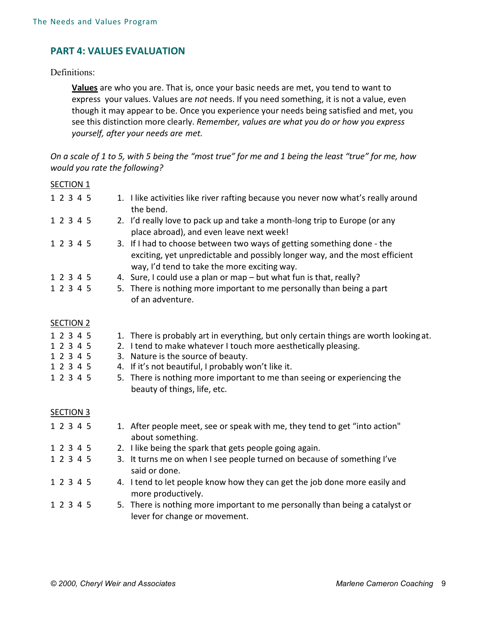# **PART 4: VALUES EVALUATION**

## Definitions:

**Values** are who you are. That is, once your basic needs are met, you tend to want to express your values. Values are *not* needs. If you need something, it is not a value, even though it may appear to be. Once you experience your needs being satisfied and met, you see this distinction more clearly. *Remember, values are what you do or how you express yourself, after your needs are met.* 

*On a scale of 1 to 5, with 5 being the "most true" for me and 1 being the least "true" for me, how would you rate the following?* 

| <b>SECTION 1</b> |                                                                                                                                                                                                       |
|------------------|-------------------------------------------------------------------------------------------------------------------------------------------------------------------------------------------------------|
| 1 2 3 4 5        | 1. I like activities like river rafting because you never now what's really around<br>the bend.                                                                                                       |
| 1 2 3 4 5        | 2. I'd really love to pack up and take a month-long trip to Europe (or any<br>place abroad), and even leave next week!                                                                                |
| 1 2 3 4 5        | 3. If I had to choose between two ways of getting something done - the<br>exciting, yet unpredictable and possibly longer way, and the most efficient<br>way, I'd tend to take the more exciting way. |
| 1 2 3 4 5        | 4. Sure, I could use a plan or map - but what fun is that, really?                                                                                                                                    |
| 1 2 3 4 5        | 5. There is nothing more important to me personally than being a part<br>of an adventure.                                                                                                             |
| <b>SECTION 2</b> |                                                                                                                                                                                                       |
| 1 2 3 4 5        | 1. There is probably art in everything, but only certain things are worth looking at.                                                                                                                 |
| 1 2 3 4 5        | 2. I tend to make whatever I touch more aesthetically pleasing.                                                                                                                                       |
| 1 2 3 4 5        | 3. Nature is the source of beauty.                                                                                                                                                                    |
| 1 2 3 4 5        | If it's not beautiful, I probably won't like it.<br>4.                                                                                                                                                |
| 1 2 3 4 5        | 5. There is nothing more important to me than seeing or experiencing the<br>beauty of things, life, etc.                                                                                              |
| <b>SECTION 3</b> |                                                                                                                                                                                                       |
| 1 2 3 4 5        | 1. After people meet, see or speak with me, they tend to get "into action"<br>about something.                                                                                                        |
| 1 2 3 4 5        | 2. I like being the spark that gets people going again.                                                                                                                                               |
| 1 2 3 4 5        | 3. It turns me on when I see people turned on because of something I've<br>said or done.                                                                                                              |
| 1 2 3 4 5        | 4. I tend to let people know how they can get the job done more easily and<br>more productively.                                                                                                      |
| 1 2 3 4 5        | 5. There is nothing more important to me personally than being a catalyst or<br>lever for change or movement.                                                                                         |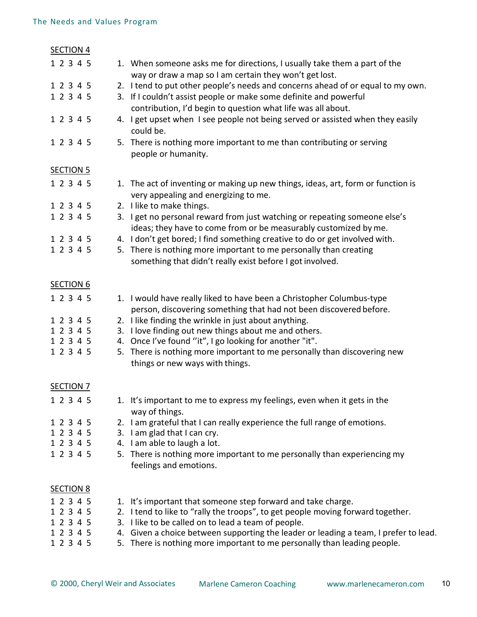| <b>SECTION 4</b> |                                                                                                                                     |
|------------------|-------------------------------------------------------------------------------------------------------------------------------------|
| 1 2 3 4 5        | 1. When someone asks me for directions, I usually take them a part of the<br>way or draw a map so I am certain they won't get lost. |
| 1 2 3 4 5        | 2. I tend to put other people's needs and concerns ahead of or equal to my own.                                                     |
| 1 2 3 4 5        | 3. If I couldn't assist people or make some definite and powerful                                                                   |
|                  | contribution, I'd begin to question what life was all about.                                                                        |
| 1 2 3 4 5        | 4. I get upset when I see people not being served or assisted when they easily                                                      |
|                  | could be.                                                                                                                           |
| 1 2 3 4 5        | 5. There is nothing more important to me than contributing or serving                                                               |
|                  | people or humanity.                                                                                                                 |
|                  |                                                                                                                                     |
| <b>SECTION 5</b> |                                                                                                                                     |
| 1 2 3 4 5        | 1. The act of inventing or making up new things, ideas, art, form or function is                                                    |
|                  | very appealing and energizing to me.                                                                                                |
| 1 2 3 4 5        | 2. I like to make things.                                                                                                           |
| 1 2 3 4 5        | 3. I get no personal reward from just watching or repeating someone else's                                                          |
|                  | ideas; they have to come from or be measurably customized by me.                                                                    |
| 1 2 3 4 5        | 4. I don't get bored; I find something creative to do or get involved with.                                                         |
| 1 2 3 4 5        | 5. There is nothing more important to me personally than creating                                                                   |
|                  | something that didn't really exist before I got involved.                                                                           |
|                  |                                                                                                                                     |
| <b>SECTION 6</b> |                                                                                                                                     |
| 1 2 3 4 5        | 1. I would have really liked to have been a Christopher Columbus-type                                                               |
|                  | person, discovering something that had not been discovered before.                                                                  |
| 1 2 3 4 5        | 2. I like finding the wrinkle in just about anything.                                                                               |
| 1 2 3 4 5        | I love finding out new things about me and others.<br>3.                                                                            |
| 1 2 3 4 5        | Once I've found "it", I go looking for another "it".<br>4.                                                                          |
| 1 2 3 4 5        | There is nothing more important to me personally than discovering new<br>5.                                                         |
|                  | things or new ways with things.                                                                                                     |
|                  |                                                                                                                                     |
| <b>SECTION 7</b> |                                                                                                                                     |
| 1 2 3 4 5        | 1. It's important to me to express my feelings, even when it gets in the                                                            |
|                  | way of things.                                                                                                                      |
| 1 2 3 4 5        | 2. I am grateful that I can really experience the full range of emotions.                                                           |
| 1 2 3 4 5        | 3. I am glad that I can cry.                                                                                                        |
| 1 2 3 4 5        | 4. I am able to laugh a lot.                                                                                                        |
| 1 2 3 4 5        | 5. There is nothing more important to me personally than experiencing my                                                            |
|                  | feelings and emotions.                                                                                                              |
|                  |                                                                                                                                     |
| <b>SECTION 8</b> |                                                                                                                                     |
| 1 2 3 4 5        | 1. It's important that someone step forward and take charge.                                                                        |
| 1 2 3 4 5        | 2. I tend to like to "rally the troops", to get people moving forward together.                                                     |
| 1 2 3 4 5        | 3. I like to be called on to lead a team of people.                                                                                 |
| 1 2 3 4 5        | 4. Given a choice between supporting the leader or leading a team, I prefer to lead.                                                |
| 1 2 3 4 5        | 5. There is nothing more important to me personally than leading people.                                                            |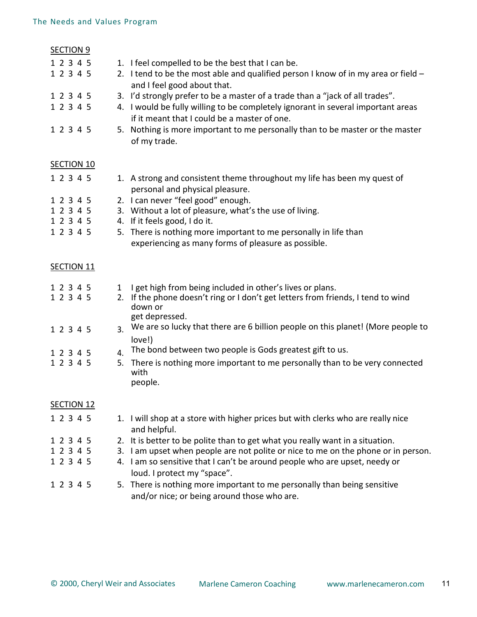| <b>SECTION 9</b>  |                                                                                                                                  |
|-------------------|----------------------------------------------------------------------------------------------------------------------------------|
| 1 2 3 4 5         | 1. I feel compelled to be the best that I can be.                                                                                |
| 1 2 3 4 5         | 2. I tend to be the most able and qualified person I know of in my area or field $-$<br>and I feel good about that.              |
| 1 2 3 4 5         | 3. I'd strongly prefer to be a master of a trade than a "jack of all trades".                                                    |
| 1 2 3 4 5         | 4. I would be fully willing to be completely ignorant in several important areas<br>if it meant that I could be a master of one. |
| 1 2 3 4 5         | 5. Nothing is more important to me personally than to be master or the master<br>of my trade.                                    |
| <b>SECTION 10</b> |                                                                                                                                  |
| 1 2 3 4 5         | 1. A strong and consistent theme throughout my life has been my quest of<br>personal and physical pleasure.                      |
| 1 2 3 4 5         | 2. I can never "feel good" enough.                                                                                               |
| 1 2 3 4 5         | 3. Without a lot of pleasure, what's the use of living.                                                                          |
| 1 2 3 4 5         | 4. If it feels good, I do it.                                                                                                    |
| 1 2 3 4 5         | 5. There is nothing more important to me personally in life than                                                                 |
|                   | experiencing as many forms of pleasure as possible.                                                                              |
| <b>SECTION 11</b> |                                                                                                                                  |
| 1 2 3 4 5         | I get high from being included in other's lives or plans.<br>$\mathbf{1}$                                                        |
| 1 2 3 4 5         | 2. If the phone doesn't ring or I don't get letters from friends, I tend to wind<br>down or                                      |
|                   | get depressed.<br>We are so lucky that there are 6 billion people on this planet! (More people to                                |
| 1 2 3 4 5         | 3.<br>love!)                                                                                                                     |
| 1 2 3 4 5         | The bond between two people is Gods greatest gift to us.<br>4.                                                                   |
| 1 2 3 4 5         | There is nothing more important to me personally than to be very connected<br>5.                                                 |
|                   | with<br>people.                                                                                                                  |
|                   |                                                                                                                                  |
|                   |                                                                                                                                  |
| <b>SECTION 12</b> |                                                                                                                                  |
| 1 2 3 4 5         |                                                                                                                                  |
|                   | 1. I will shop at a store with higher prices but with clerks who are really nice<br>and helpful.                                 |
| 1 2 3 4 5         | 2. It is better to be polite than to get what you really want in a situation.                                                    |
| 1 2 3 4 5         | 3. I am upset when people are not polite or nice to me on the phone or in person.                                                |
| 1 2 3 4 5         | 4. I am so sensitive that I can't be around people who are upset, needy or                                                       |
|                   | loud. I protect my "space".                                                                                                      |
| 1 2 3 4 5         | 5. There is nothing more important to me personally than being sensitive<br>and/or nice; or being around those who are.          |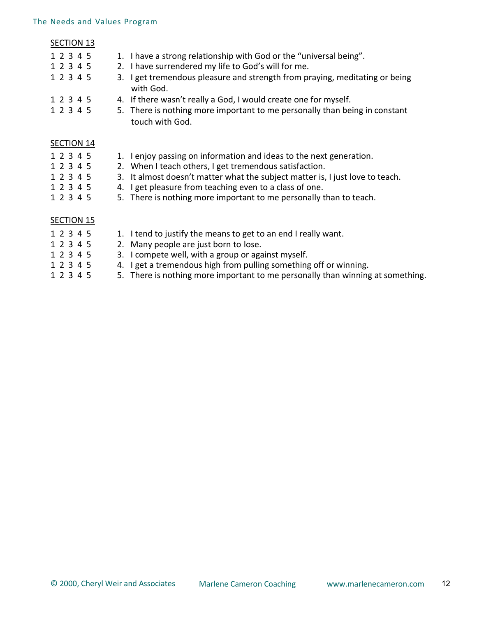#### The Needs and Values Program

#### SECTION 13

|  |  | 1 2 3 4 5 |  | 1. I have a strong relationship with God or the "universal being".                       |
|--|--|-----------|--|------------------------------------------------------------------------------------------|
|  |  | 1 2 3 4 5 |  | 2. I have surrendered my life to God's will for me.                                      |
|  |  | 1 2 3 4 5 |  | 3. I get tremendous pleasure and strength from praying, meditating or being<br>with God. |
|  |  | 1 2 3 4 5 |  | 4. If there wasn't really a God, I would create one for myself.                          |

1 2 3 4 5 5. There is nothing more important to me personally than being in constant touch with God.

### SECTION 14

- 1 2 3 4 5 1. I enjoy passing on information and ideas to the next generation.
- 1 2 3 4 5 2. When I teach others, I get tremendous satisfaction.
- 1 2 3 4 5 3. It almost doesn't matter what the subject matter is, I just love to teach.
- 1 2 3 4 5 4. I get pleasure from teaching even to a class of one.
- 1 2 3 4 5 5. There is nothing more important to me personally than to teach.

### SECTION 15

- 1 2 3 4 5 1. I tend to justify the means to get to an end I really want.
- 1 2 3 4 5 2. Many people are just born to lose.
- 1 2 3 4 5 3. I compete well, with a group or against myself.
- 1 2 3 4 5 4. I get a tremendous high from pulling something off or winning.
- 1 2 3 4 5 5. There is nothing more important to me personally than winning at something.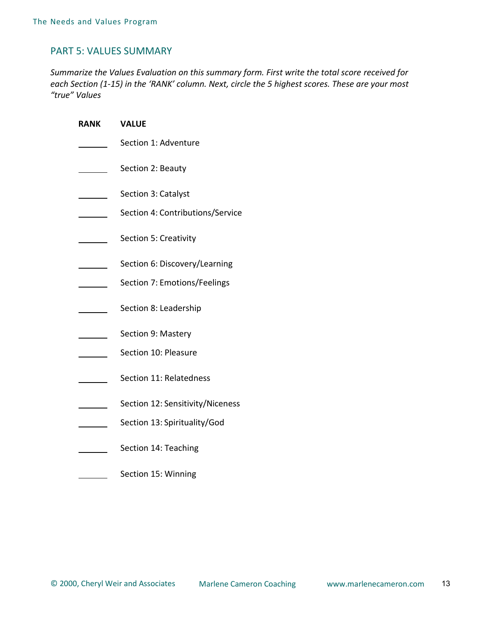## PART 5: VALUES SUMMARY

*Summarize the Values Evaluation on this summary form. First write the total score received for each Section (1-15) in the 'RANK' column. Next, circle the 5 highest scores. These are your most "true" Values*

| RANK | <b>VALUE</b>                     |
|------|----------------------------------|
|      | Section 1: Adventure             |
|      | Section 2: Beauty                |
|      | Section 3: Catalyst              |
|      | Section 4: Contributions/Service |
|      | Section 5: Creativity            |
|      | Section 6: Discovery/Learning    |
|      | Section 7: Emotions/Feelings     |
|      | Section 8: Leadership            |
|      | Section 9: Mastery               |
|      | Section 10: Pleasure             |
|      | Section 11: Relatedness          |
|      | Section 12: Sensitivity/Niceness |
|      | Section 13: Spirituality/God     |
|      | Section 14: Teaching             |
|      | Section 15: Winning              |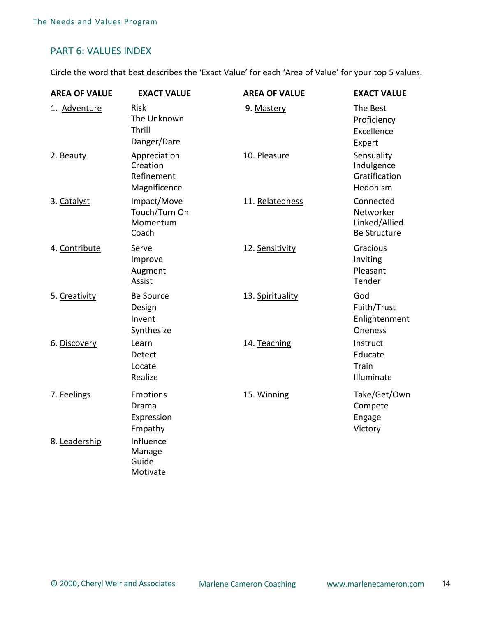## PART 6: VALUES INDEX

Circle the word that best describes the 'Exact Value' for each 'Area of Value' for your top 5 values.

| <b>AREA OF VALUE</b> | <b>EXACT VALUE</b>                                     | <b>AREA OF VALUE</b> | <b>EXACT VALUE</b>                                             |
|----------------------|--------------------------------------------------------|----------------------|----------------------------------------------------------------|
| 1. Adventure         | <b>Risk</b><br>The Unknown<br>Thrill<br>Danger/Dare    | 9. Mastery           | The Best<br>Proficiency<br>Excellence<br>Expert                |
| 2. Beauty            | Appreciation<br>Creation<br>Refinement<br>Magnificence | 10. Pleasure         | Sensuality<br>Indulgence<br>Gratification<br>Hedonism          |
| 3. Catalyst          | Impact/Move<br>Touch/Turn On<br>Momentum<br>Coach      | 11. Relatedness      | Connected<br>Networker<br>Linked/Allied<br><b>Be Structure</b> |
| 4. Contribute        | Serve<br>Improve<br>Augment<br>Assist                  | 12. Sensitivity      | Gracious<br>Inviting<br>Pleasant<br>Tender                     |
| 5. Creativity        | <b>Be Source</b><br>Design<br>Invent<br>Synthesize     | 13. Spirituality     | God<br>Faith/Trust<br>Enlightenment<br><b>Oneness</b>          |
| 6. Discovery         | Learn<br>Detect<br>Locate<br>Realize                   | 14. Teaching         | Instruct<br>Educate<br>Train<br>Illuminate                     |
| 7. Feelings          | <b>Emotions</b><br>Drama<br>Expression<br>Empathy      | 15. Winning          | Take/Get/Own<br>Compete<br>Engage<br>Victory                   |
| 8. Leadership        | Influence<br>Manage<br>Guide<br>Motivate               |                      |                                                                |